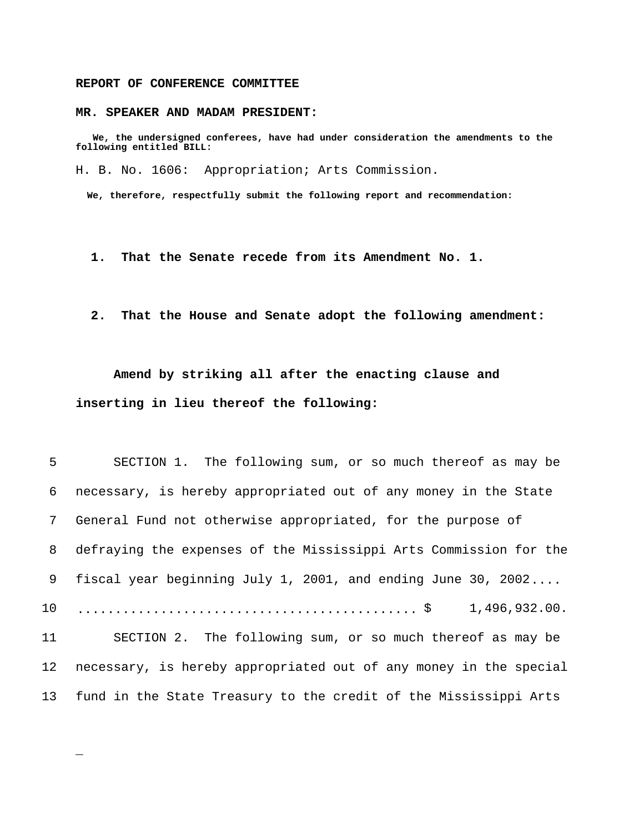## **REPORT OF CONFERENCE COMMITTEE**

\_

### **MR. SPEAKER AND MADAM PRESIDENT:**

 **We, the undersigned conferees, have had under consideration the amendments to the following entitled BILL:**

H. B. No. 1606: Appropriation; Arts Commission.

 **We, therefore, respectfully submit the following report and recommendation:**

 **1. That the Senate recede from its Amendment No. 1.**

 **2. That the House and Senate adopt the following amendment:**

**Amend by striking all after the enacting clause and inserting in lieu thereof the following:**

| 5 <sup>1</sup>  | SECTION 1. The following sum, or so much thereof as may be        |
|-----------------|-------------------------------------------------------------------|
| 6               | necessary, is hereby appropriated out of any money in the State   |
| 7 <sup>7</sup>  | General Fund not otherwise appropriated, for the purpose of       |
| 8               | defraying the expenses of the Mississippi Arts Commission for the |
| 9               | fiscal year beginning July 1, 2001, and ending June 30, 2002      |
| 10 <sub>1</sub> | 1,496,932.00.                                                     |
| 11              | SECTION 2. The following sum, or so much thereof as may be        |
| 12              | necessary, is hereby appropriated out of any money in the special |
| 13              | fund in the State Treasury to the credit of the Mississippi Arts  |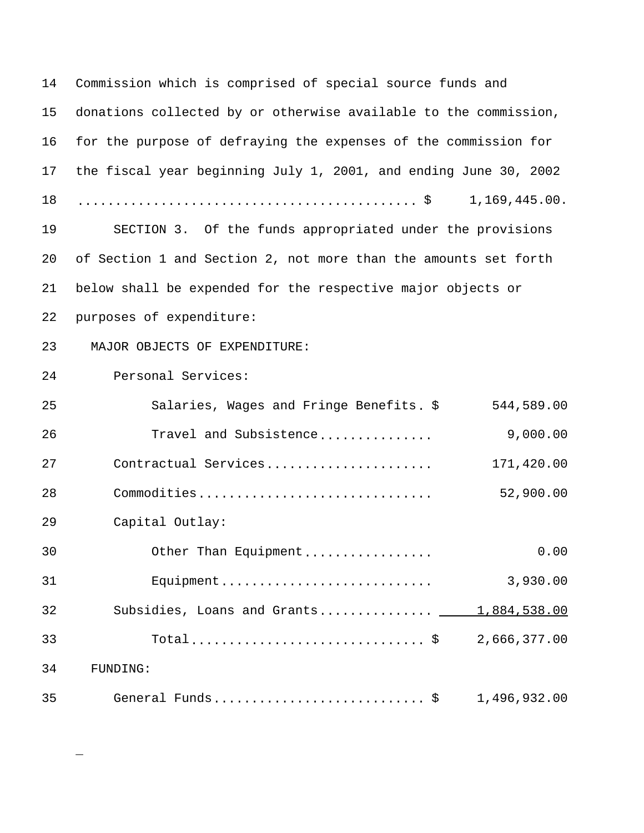| 14   | Commission which is comprised of special source funds and                                                          |      |  |  |
|------|--------------------------------------------------------------------------------------------------------------------|------|--|--|
| 15   | donations collected by or otherwise available to the commission,                                                   |      |  |  |
| 16   | for the purpose of defraying the expenses of the commission for                                                    |      |  |  |
| 17   | the fiscal year beginning July 1, 2001, and ending June 30, 2002                                                   |      |  |  |
| 18   | $\ldots \ldots \ldots \ldots \ldots \ldots \ldots \ldots \ldots \ldots \ldots \ldots \ldots \approx 1,169,445.00.$ |      |  |  |
| 19   | SECTION 3. Of the funds appropriated under the provisions                                                          |      |  |  |
| 20   | of Section 1 and Section 2, not more than the amounts set forth                                                    |      |  |  |
| 21   | below shall be expended for the respective major objects or                                                        |      |  |  |
| 22   | purposes of expenditure:                                                                                           |      |  |  |
| 23   | MAJOR OBJECTS OF EXPENDITURE:                                                                                      |      |  |  |
| 24   | Personal Services:                                                                                                 |      |  |  |
| 25   | Salaries, Wages and Fringe Benefits. \$<br>544,589.00                                                              |      |  |  |
| 26   | 9,000.00<br>Travel and Subsistence                                                                                 |      |  |  |
| 27   | Contractual Services<br>171,420.00                                                                                 |      |  |  |
| 28   | 52,900.00<br>Commodities                                                                                           |      |  |  |
| 29   | Capital Outlay:                                                                                                    |      |  |  |
| $30$ | Other Than Equipment                                                                                               | 0.00 |  |  |
| 31   | Equipment<br>3,930.00                                                                                              |      |  |  |
| 32   | 1,884,538.00<br>Subsidies, Loans and Grants ____                                                                   |      |  |  |
| 33   | 2,666,377.00                                                                                                       |      |  |  |
| 34   | FUNDING:                                                                                                           |      |  |  |
| 35   | General Funds \$<br>1,496,932.00                                                                                   |      |  |  |

\_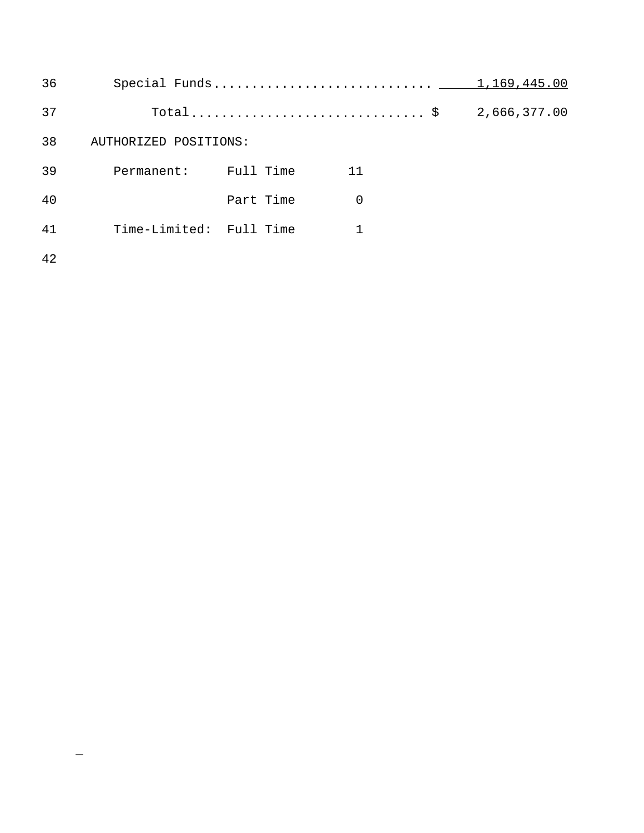| 36 |                         |           |          | 1,169,445.00 |  |
|----|-------------------------|-----------|----------|--------------|--|
| 37 |                         |           |          | 2,666,377.00 |  |
| 38 | AUTHORIZED POSITIONS:   |           |          |              |  |
| 39 | Permanent:              | Full Time | 11       |              |  |
| 40 |                         | Part Time | $\Omega$ |              |  |
| 41 | Time-Limited: Full Time |           |          |              |  |
| 42 |                         |           |          |              |  |

\_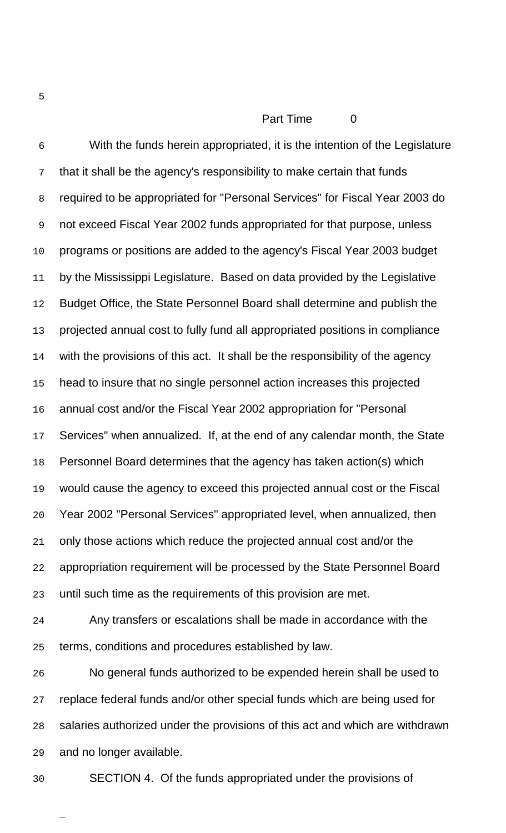# Part Time 0

 With the funds herein appropriated, it is the intention of the Legislature that it shall be the agency's responsibility to make certain that funds required to be appropriated for "Personal Services" for Fiscal Year 2003 do not exceed Fiscal Year 2002 funds appropriated for that purpose, unless programs or positions are added to the agency's Fiscal Year 2003 budget 11 by the Mississippi Legislature. Based on data provided by the Legislative 12 Budget Office, the State Personnel Board shall determine and publish the projected annual cost to fully fund all appropriated positions in compliance 14 with the provisions of this act. It shall be the responsibility of the agency head to insure that no single personnel action increases this projected annual cost and/or the Fiscal Year 2002 appropriation for "Personal Services" when annualized. If, at the end of any calendar month, the State Personnel Board determines that the agency has taken action(s) which would cause the agency to exceed this projected annual cost or the Fiscal Year 2002 "Personal Services" appropriated level, when annualized, then only those actions which reduce the projected annual cost and/or the appropriation requirement will be processed by the State Personnel Board until such time as the requirements of this provision are met.

 Any transfers or escalations shall be made in accordance with the terms, conditions and procedures established by law.

 No general funds authorized to be expended herein shall be used to replace federal funds and/or other special funds which are being used for salaries authorized under the provisions of this act and which are withdrawn and no longer available.

\_

SECTION 4. Of the funds appropriated under the provisions of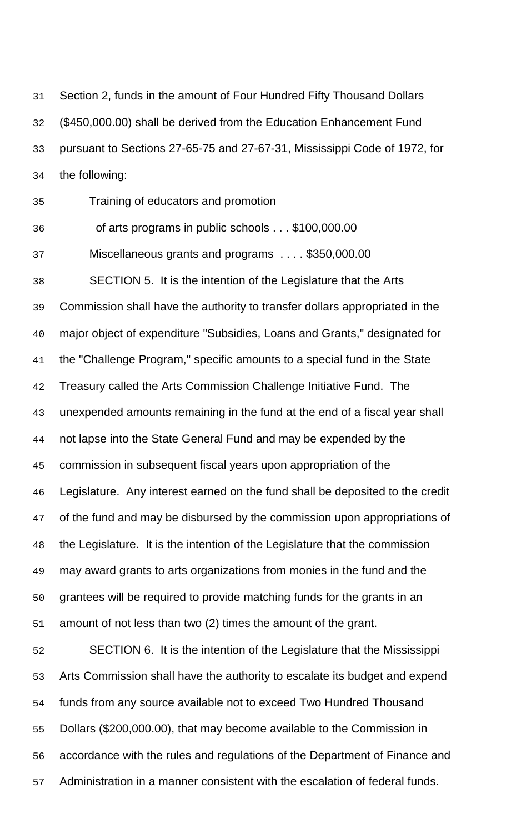Section 2, funds in the amount of Four Hundred Fifty Thousand Dollars (\$450,000.00) shall be derived from the Education Enhancement Fund pursuant to Sections 27-65-75 and 27-67-31, Mississippi Code of 1972, for the following:

Training of educators and promotion

of arts programs in public schools . . . \$100,000.00

Miscellaneous grants and programs . . . . \$350,000.00

SECTION 5. It is the intention of the Legislature that the Arts

Commission shall have the authority to transfer dollars appropriated in the

major object of expenditure "Subsidies, Loans and Grants," designated for

the "Challenge Program," specific amounts to a special fund in the State

Treasury called the Arts Commission Challenge Initiative Fund. The

unexpended amounts remaining in the fund at the end of a fiscal year shall

not lapse into the State General Fund and may be expended by the

commission in subsequent fiscal years upon appropriation of the

Legislature. Any interest earned on the fund shall be deposited to the credit

47 of the fund and may be disbursed by the commission upon appropriations of

the Legislature. It is the intention of the Legislature that the commission

may award grants to arts organizations from monies in the fund and the

grantees will be required to provide matching funds for the grants in an

amount of not less than two (2) times the amount of the grant.

\_

 SECTION 6. It is the intention of the Legislature that the Mississippi Arts Commission shall have the authority to escalate its budget and expend funds from any source available not to exceed Two Hundred Thousand Dollars (\$200,000.00), that may become available to the Commission in accordance with the rules and regulations of the Department of Finance and Administration in a manner consistent with the escalation of federal funds.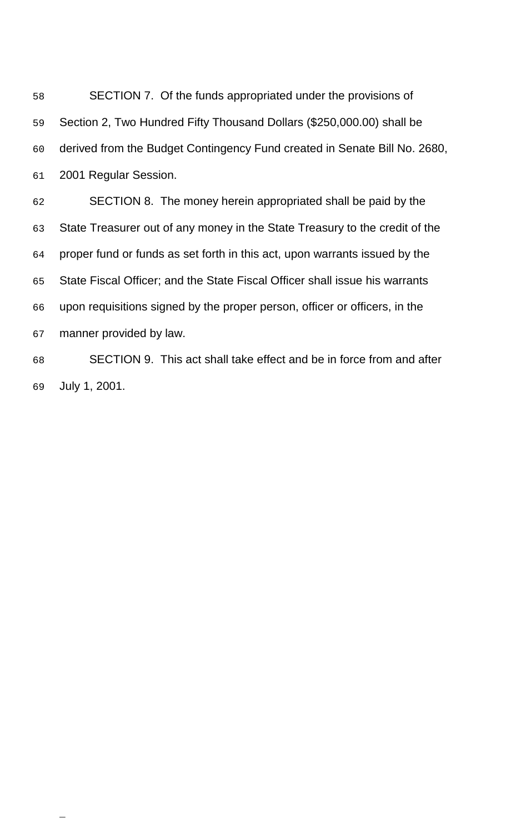SECTION 7. Of the funds appropriated under the provisions of Section 2, Two Hundred Fifty Thousand Dollars (\$250,000.00) shall be derived from the Budget Contingency Fund created in Senate Bill No. 2680, 2001 Regular Session. SECTION 8. The money herein appropriated shall be paid by the State Treasurer out of any money in the State Treasury to the credit of the proper fund or funds as set forth in this act, upon warrants issued by the State Fiscal Officer; and the State Fiscal Officer shall issue his warrants upon requisitions signed by the proper person, officer or officers, in the manner provided by law. SECTION 9. This act shall take effect and be in force from and after

July 1, 2001.

\_